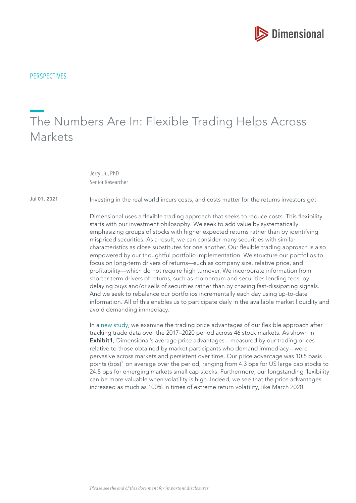

**PERSPECTIVES** 

# The Numbers Are In: Flexible Trading Helps Across Markets

Jerry Liu, PhD Senior Researcher

Jul 01, 2021

Investing in the real world incurs costs, and costs matter for the returns investors get.

Dimensional uses a fexible trading approach that seeks to reduce costs. This fexibility starts with our investment philosophy. We seek to add value by systematically emphasizing groups of stocks with higher expected returns rather than by identifying mispriced securities. As a result, we can consider many securities with similar characteristics as close substitutes for one another. Our fexible trading approach is also empowered by our thoughtful portfolio implementation. We structure our portfolios to focus on long-term drivers of returns—such as company size, relative price, and proftability—which do not require high turnover. We incorporate information from shorter-term drivers of returns, such as momentum and securities lending fees, by delaying buys and/or sells of securities rather than by chasing fast-dissipating signals. And we seek to rebalance our portfolios incrementally each day using up-to-date information. All of this enables us to participate daily in the available market liquidity and avoid demanding immediacy.

In a [new study,](https://my.dimensional.com/asset/59983/global-trading-price-advantages-of-flexible-equity-portfolios) we examine the trading price advantages of our fexible approach after tracking trade data over the 2017–2020 period across 46 stock markets. As shown in **Exhibit1**, Dimensional's average price advantages—measured by our trading prices relative to those obtained by market participants who demand immediacy—were pervasive across markets and persistent over time. Our price advantage was 10.5 basis points ( $bps$ <sup>1</sup> on average over the period, ranging from 4.3 bps for US large cap stocks to 24.8 bps for emerging markets small cap stocks. Furthermore, our longstanding fexibility can be more valuable when volatility is high. Indeed, we see that the price advantages increased as much as 100% in times of extreme return volatility, like March 2020.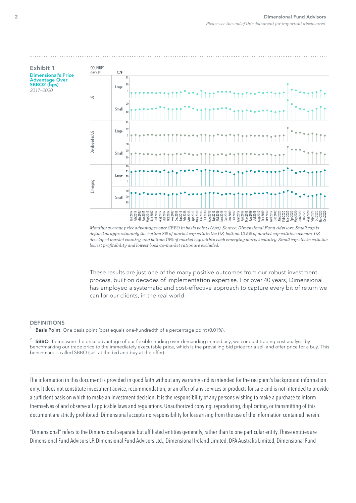

These results are just one of the many positive outcomes from our robust investment process, built on decades of implementation expertise. For over 40 years, Dimensional has employed a systematic and cost-effective approach to capture every bit of return we can for our clients, in the real world.

#### DEFINITIONS

Basis Point: One basis point (bps) equals one-hundredth of a percentage point (0.01%).

<sup>2</sup> SBBO: To measure the price advantage of our flexible trading over demanding immediacy, we conduct trading cost analysis by benchmarking our trade price to the immediately executable price, which is the prevailing bid price for a sell and offer price for a buy. This benchmark is called SBBO (sell at the bid and buy at the offer).

The information in this document is provided in good faith without any warranty and is intended for the recipient's background information only. It does not constitute investment advice, recommendation, or an offer of any services or products for sale and is not intended to provide a suffcient basis on which to make an investment decision. It is the responsibility of any persons wishing to make a purchase to inform themselves of and observe all applicable laws and regulations. Unauthorized copying, reproducing, duplicating, or transmitting of this document are strictly prohibited. Dimensional accepts no responsibility for loss arising from the use of the information contained herein.

"Dimensional" refers to the Dimensional separate but affliated entities generally, rather than to one particular entity. These entities are Dimensional Fund Advisors LP, Dimensional Fund Advisors Ltd., Dimensional Ireland Limited, DFA Australia Limited, Dimensional Fund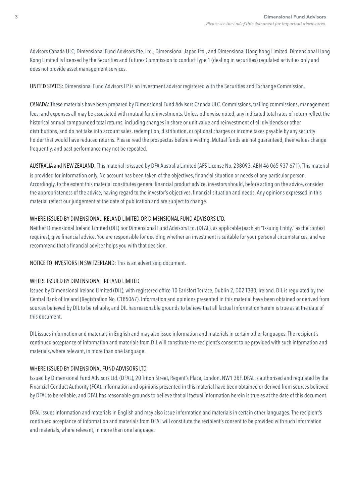Advisors Canada ULC, Dimensional Fund Advisors Pte. Ltd., Dimensional Japan Ltd., and Dimensional Hong Kong Limited. Dimensional Hong Kong Limited is licensed by the Securities and Futures Commission to conduct Type 1 (dealing in securities) regulated activities only and does not provide asset management services.

## UNITED STATES: Dimensional Fund Advisors LP is an investment advisor registered with the Securities and Exchange Commission.

CANADA: These materials have been prepared by Dimensional Fund Advisors Canada ULC. Commissions, trailing commissions, management fees, and expenses all may be associated with mutual fund investments. Unless otherwise noted, any indicated total rates of return refect the historical annual compounded total returns, including changes in share or unit value and reinvestment of all dividends or other distributions, and do not take into account sales, redemption, distribution, or optional charges or income taxes payable by any security holder that would have reduced returns. Please read the prospectus before investing. Mutual funds are not guaranteed, their values change frequently, and past performance may not be repeated.

AUSTRALIA and NEW ZEALAND: This material is issued by DFA Australia Limited (AFS License No. 238093, ABN 46 065 937 671). This material is provided for information only. No account has been taken of the objectives, financial situation or needs of any particular person. Accordingly, to the extent this material constitutes general fnancial product advice, investors should, before acting on the advice, consider the appropriateness of the advice, having regard to the investor's objectives, fnancial situation and needs. Any opinions expressed in this material refect our judgement at the date of publication and are subject to change.

### WHERE ISSUED BY DIMENSIONAL IRELAND LIMITED OR DIMENSIONAL FUND ADVISORS LTD.

Neither Dimensional Ireland Limited (DIL) nor Dimensional Fund Advisors Ltd. (DFAL), as applicable (each an "Issuing Entity," as the context requires), give fnancial advice. You are responsible for deciding whether an investment is suitable for your personal circumstances, and we recommend that a financial adviser helps you with that decision.

#### NOTICE TO INVESTORS IN SWITZERLAND: This is an advertising document.

#### WHERE ISSUED BY DIMENSIONAL IRELAND LIMITED

Issued by Dimensional Ireland Limited (DIL), with registered office 10 Earlsfort Terrace, Dublin 2, D02 T380, Ireland. DIL is regulated by the Central Bank of Ireland (Registration No. C185067). Information and opinions presented in this material have been obtained or derived from sources believed by DIL to be reliable, and DIL has reasonable grounds to believe that all factual information herein is true as at the date of this document.

DIL issues information and materials in English and may also issue information and materials in certain other languages. The recipient's continued acceptance of information and materials from DIL will constitute the recipient's consent to be provided with such information and materials, where relevant, in more than one language.

#### WHERE ISSUED BY DIMENSIONAL FUND ADVISORS LTD.

Issued by Dimensional Fund Advisors Ltd. (DFAL), 20 Triton Street, Regent's Place, London, NW1 3BF. DFAL is authorised and regulated by the Financial Conduct Authority (FCA). Information and opinions presented in this material have been obtained or derived from sources believed by DFAL to be reliable, and DFAL has reasonable grounds to believe that all factual information herein is true as at the date of this document.

DFAL issues information and materials in English and may also issue information and materials in certain other languages. The recipient's continued acceptance of information and materials from DFAL will constitute the recipient's consent to be provided with such information and materials, where relevant, in more than one language.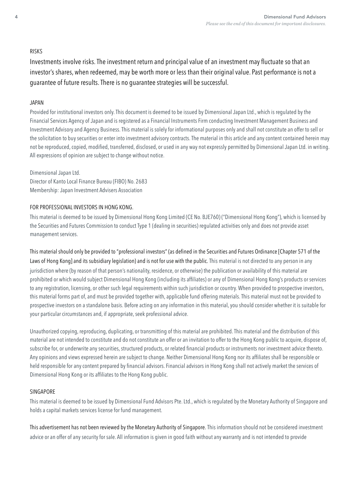### RISKS

Investments involve risks. The investment return and principal value of an investment may fuctuate so that an investor's shares, when redeemed, may be worth more or less than their original value. Past performance is not a guarantee of future results. There is no guarantee strategies will be successful.

### JAPAN

Provided for institutional investors only. This document is deemed to be issued by Dimensional Japan Ltd., which is regulated by the Financial Services Agency of Japan and is registered as a Financial Instruments Firm conducting Investment Management Business and Investment Advisory and Agency Business. This material is solely for informational purposes only and shall not constitute an offer to sell or the solicitation to buy securities or enter into investment advisory contracts. The material in this article and any content contained herein may not be reproduced, copied, modifed, transferred, disclosed, or used in any way not expressly permitted by Dimensional Japan Ltd. in writing. All expressions of opinion are subject to change without notice.

Dimensional Japan Ltd. Director of Kanto Local Finance Bureau (FIBO) No. 2683 Membership: Japan Investment Advisers Association

### FOR PROFESSIONAL INVESTORS IN HONG KONG.

This material is deemed to be issued by Dimensional Hong Kong Limited (CE No. BJE760) ("Dimensional Hong Kong"), which is licensed by the Securities and Futures Commission to conduct Type 1 (dealing in securities) regulated activities only and does not provide asset management services.

This material should only be provided to "professional investors" (as defined in the Securities and Futures Ordinance [Chapter 571 of the Laws of Hong Kong] and its subsidiary legislation) and is not for use with the public. This material is not directed to any person in any jurisdiction where (by reason of that person's nationality, residence, or otherwise) the publication or availability of this material are prohibited or which would subject Dimensional Hong Kong (including its affliates) or any of Dimensional Hong Kong's products or services to any registration, licensing, or other such legal requirements within such jurisdiction or country. When provided to prospective investors, this material forms part of, and must be provided together with, applicable fund offering materials. This material must not be provided to prospective investors on a standalone basis. Before acting on any information in this material, you should consider whether it is suitable for your particular circumstances and, if appropriate, seek professional advice.

Unauthorized copying, reproducing, duplicating, or transmitting of this material are prohibited. This material and the distribution of this material are not intended to constitute and do not constitute an offer or an invitation to offer to the Hong Kong public to acquire, dispose of, subscribe for, or underwrite any securities, structured products, or related fnancial products or instruments nor investment advice thereto. Any opinions and views expressed herein are subject to change. Neither Dimensional Hong Kong nor its affliates shall be responsible or held responsible for any content prepared by fnancial advisors. Financial advisors in Hong Kong shall not actively market the services of Dimensional Hong Kong or its affliates to the Hong Kong public.

# SINGAPORE

This material is deemed to be issued by Dimensional Fund Advisors Pte. Ltd., which is regulated by the Monetary Authority of Singapore and holds a capital markets services license for fund management.

This advertisement has not been reviewed by the Monetary Authority of Singapore. This information should not be considered investment advice or an offer of any security for sale. All information is given in good faith without any warranty and is not intended to provide